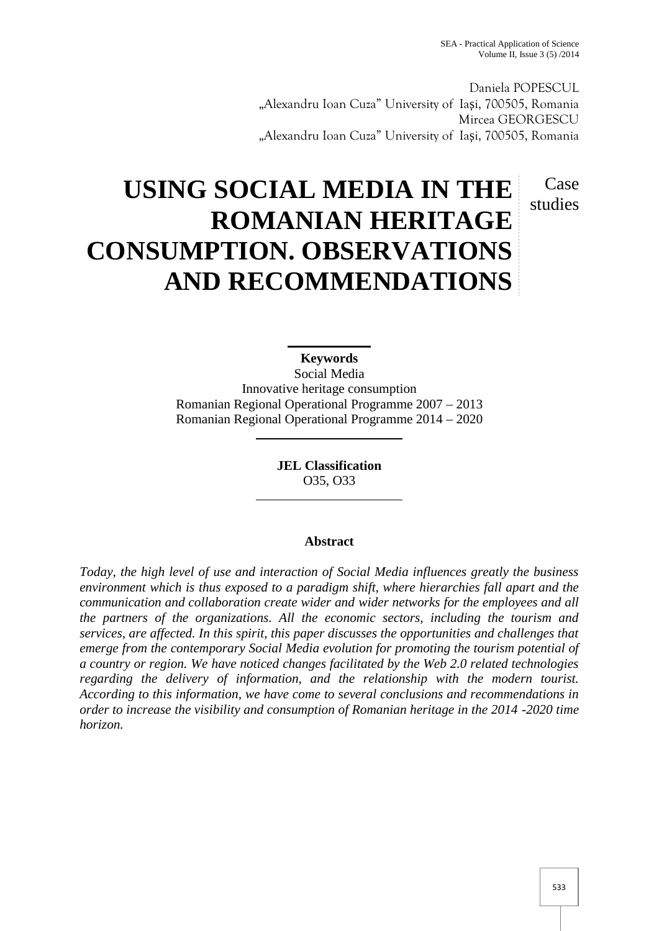Case studies

Daniela POPESCUL "Alexandru Ioan Cuza" University of Ia i, 700505, Romania Mircea GEORGESCU "Alexandru Ioan Cuza" University of Ia i, 700505, Romania

# **USING SOCIAL MEDIA IN THE ROMANIAN HERITAGE CONSUMPTION. OBSERVATIONS AND RECOMMENDATIONS**

**Keywords** Social Media Innovative heritage consumption Romanian Regional Operational Programme 2007 – 2013 Romanian Regional Operational Programme 2014 – 2020

> **JEL Classification** O35, O33

## **Abstract**

*Today, the high level of use and interaction of Social Media influences greatly the business environment which is thus exposed to a paradigm shift, where hierarchies fall apart and the communication and collaboration create wider and wider networks for the employees and all the partners of the organizations. All the economic sectors, including the tourism and services, are affected. In this spirit, this paper discusses the opportunities and challenges that emerge from the contemporary Social Media evolution for promoting the tourism potential of a country or region. We have noticed changes facilitated by the Web 2.0 related technologies regarding the delivery of information, and the relationship with the modern tourist. According to this information, we have come to several conclusions and recommendations in order to increase the visibility and consumption of Romanian heritage in the 2014 -2020 time horizon.*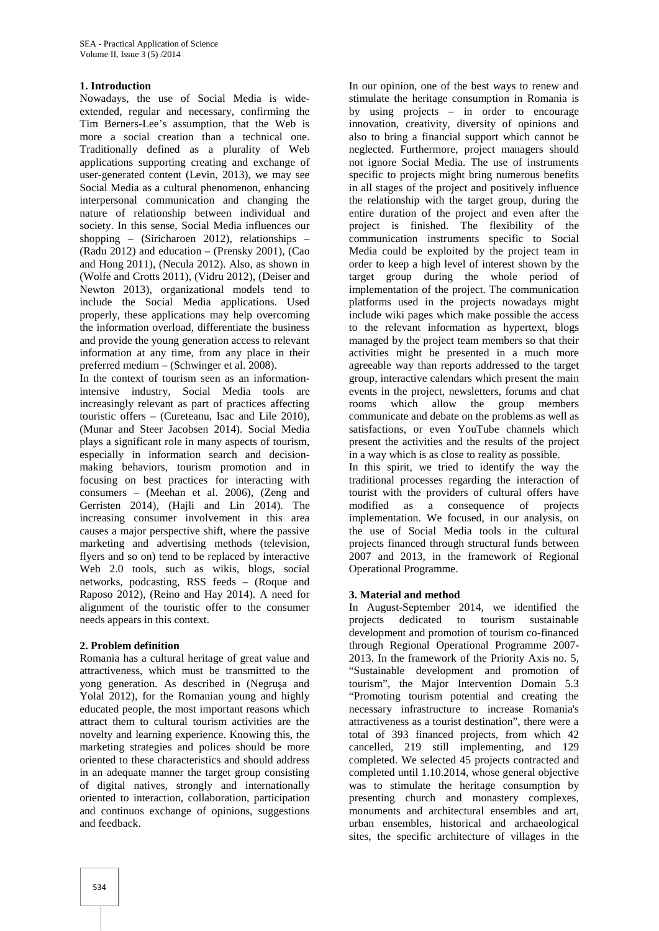#### **1. Introduction**

Nowadays, the use of Social Media is wide extended, regular and necessary, confirming the Tim Berners-Lee's assumption, that the Web is more a social creation than a technical one. Traditionally defined as a plurality of Web applications supporting creating and exchange of user-generated content (Levin, 2013), we may see Social Media as a cultural phenomenon, enhancing interpersonal communication and changing the nature of relationship between individual and society. In this sense, Social Media influences our shopping – (Siricharoen 2012), relationships – (Radu 2012) and education – (Prensky 2001), (Cao and Hong 2011), (Necula 2012). Also, as shown in (Wolfe and Crotts 2011), (Vidru 2012), (Deiser and Newton 2013), organizational models tend to include the Social Media applications. Used properly, these applications may help overcoming the information overload, differentiate the business and provide the young generation access to relevant information at any time, from any place in their preferred medium – (Schwinger et al. 2008).

In the context of tourism seen as an informationintensive industry, Social Media tools are increasingly relevant as part of practices affecting touristic offers – (Cureteanu, Isac and Lile 2010), (Munar and Steer Jacobsen 2014). Social Media plays a significant role in many aspects of tourism, especially in information search and decision making behaviors, tourism promotion and in focusing on best practices for interacting with consumers – (Meehan et al. 2006), (Zeng and Gerristen 2014), (Hajli and Lin 2014). The increasing consumer involvement in this area causes a major perspective shift, where the passive marketing and advertising methods (television, flyers and so on) tend to be replaced by interactive Web 2.0 tools, such as wikis, blogs, social networks, podcasting, RSS feeds – (Roque and Raposo 2012), (Reino and Hay 2014). A need for alignment of the touristic offer to the consumer needs appears in this context.

## **2. Problem definition**

Romania has a cultural heritage of great value and attractiveness, which must be transmitted to the yong generation. As described in (Negru a and Yolal 2012), for the Romanian young and highly educated people, the most important reasons which attract them to cultural tourism activities are the novelty and learning experience. Knowing this, the marketing strategies and polices should be more oriented to these characteristics and should address in an adequate manner the target group consisting of digital natives, strongly and internationally oriented to interaction, collaboration, participation and continuos exchange of opinions, suggestions and feedback.

In our opinion, one of the best ways to renew and stimulate the heritage consumption in Romania is by using projects – in order to encourage innovation, creativity, diversity of opinions and also to bring a financial support which cannot be neglected. Furthermore, project managers should not ignore Social Media. The use of instruments specific to projects might bring numerous benefits in all stages of the project and positively influence the relationship with the target group, during the entire duration of the project and even after the project is finished. The flexibility of the communication instruments specific to Social Media could be exploited by the project team in order to keep a high level of interest shown by the target group during the whole period of implementation of the project. The communication platforms used in the projects nowadays might include wiki pages which make possible the access to the relevant information as hypertext, blogs managed by the project team members so that their activities might be presented in a much more agreeable way than reports addressed to the target group, interactive calendars which present the main events in the project, newsletters, forums and chat which allow the group members communicate and debate on the problems as well as satisfactions, or even YouTube channels which present the activities and the results of the project in a way which is as close to reality as possible.

In this spirit, we tried to identify the way the traditional processes regarding the interaction of tourist with the providers of cultural offers have modified as a consequence of projects implementation. We focused, in our analysis, on the use of Social Media tools in the cultural projects financed through structural funds between 2007 and 2013, in the framework of Regional Operational Programme.

## **3. Material and method**

In August-September 2014, we identified the projects dedicated to tourism sustainable development and promotion of tourism co-financed through Regional Operational Programme 2007- 2013. In the framework of the Priority Axis no. 5, "Sustainable development and promotion of tourism", the Major Intervention Domain 5.3 "Promoting tourism potential and creating the necessary infrastructure to increase Romania's attractiveness as a tourist destination", there were a total of 393 financed projects, from which 42 cancelled, 219 still implementing, and 129 completed. We selected 45 projects contracted and completed until 1.10.2014, whose general objective was to stimulate the heritage consumption by presenting church and monastery complexes, monuments and architectural ensembles and art, urban ensembles, historical and archaeological sites, the specific architecture of villages in the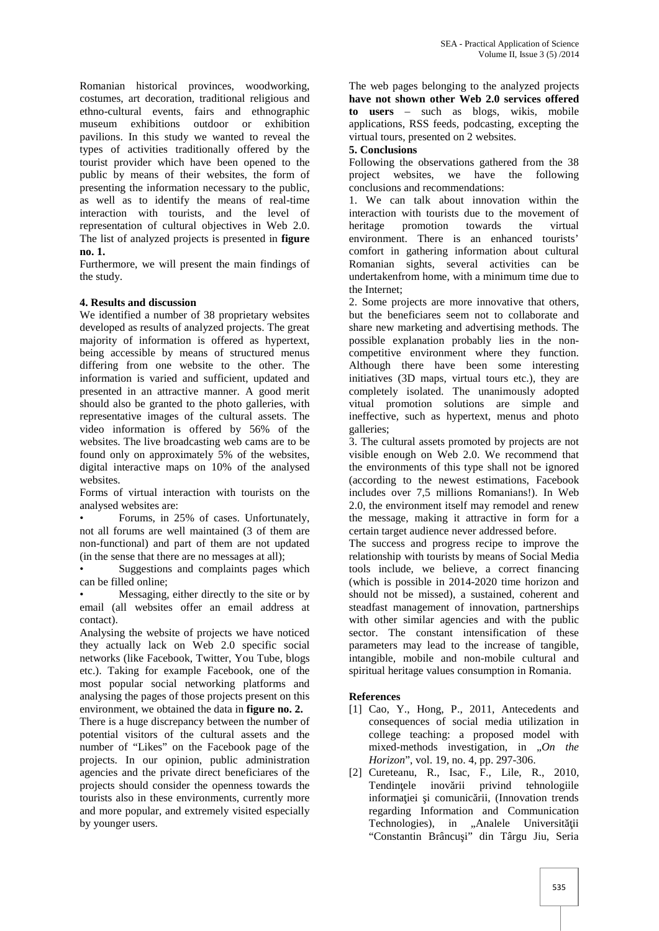Romanian historical provinces, woodworking, costumes, art decoration, traditional religious and ethno-cultural events, fairs and ethnographic museum exhibitions outdoor or exhibition pavilions. In this study we wanted to reveal the types of activities traditionally offered by the tourist provider which have been opened to the public by means of their websites, the form of presenting the information necessary to the public, as well as to identify the means of real-time interaction with tourists, and the level of representation of cultural objectives in Web 2.0. The list of analyzed projects is presented in **figure no. 1.**

Furthermore, we will present the main findings of the study.

#### **4. Results and discussion**

We identified a number of 38 proprietary websites developed as results of analyzed projects. The great majority of information is offered as hypertext, being accessible by means of structured menus differing from one website to the other. The information is varied and sufficient, updated and presented in an attractive manner. A good merit should also be granted to the photo galleries, with representative images of the cultural assets. The video information is offered by 56% of the websites. The live broadcasting web cams are to be found only on approximately 5% of the websites, digital interactive maps on 10% of the analysed websites.

Forms of virtual interaction with tourists on the analysed websites are:

• Forums, in 25% of cases. Unfortunately, not all forums are well maintained (3 of them are non-functional) and part of them are not updated (in the sense that there are no messages at all);

Suggestions and complaints pages which can be filled online;

• Messaging, either directly to the site or by email (all websites offer an email address at contact).

Analysing the website of projects we have noticed they actually lack on Web 2.0 specific social networks (like Facebook, Twitter, You Tube, blogs etc.). Taking for example Facebook, one of the most popular social networking platforms and analysing the pages of those projects present on this environment, we obtained the data in **figure no. 2.**

There is a huge discrepancy between the number of potential visitors of the cultural assets and the number of "Likes" on the Facebook page of the projects. In our opinion, public administration agencies and the private direct beneficiares of the projects should consider the openness towards the tourists also in these environments, currently more and more popular, and extremely visited especially by younger users.

The web pages belonging to the analyzed projects **have not shown other Web 2.0 services offered to users** – such as blogs, wikis, mobile applications, RSS feeds, podcasting, excepting the virtual tours, presented on 2 websites.

#### **5. Conclusions**

Following the observations gathered from the 38 project websites, we have the following project websites. conclusions and recommendations:

1. We can talk about innovation within the interaction with tourists due to the movement of heritage promotion towards the virtual environment. There is an enhanced tourists' comfort in gathering information about cultural Romanian sights, several activities can be undertakenfrom home, with a minimum time due to the Internet;

2. Some projects are more innovative that others, but the beneficiares seem not to collaborate and share new marketing and advertising methods. The possible explanation probably lies in the non competitive environment where they function. Although there have been some interesting initiatives (3D maps, virtual tours etc.), they are completely isolated. The unanimously adopted vitual promotion solutions are simple and ineffective, such as hypertext, menus and photo galleries;

3. The cultural assets promoted by projects are not visible enough on Web 2.0. We recommend that the environments of this type shall not be ignored (according to the newest estimations, Facebook includes over 7,5 millions Romanians!). In Web 2.0, the environment itself may remodel and renew the message, making it attractive in form for a certain target audience never addressed before.

The success and progress recipe to improve the relationship with tourists by means of Social Media tools include, we believe, a correct financing (which is possible in 2014-2020 time horizon and should not be missed), a sustained, coherent and steadfast management of innovation, partnerships with other similar agencies and with the public sector. The constant intensification of these parameters may lead to the increase of tangible, intangible, mobile and non-mobile cultural and spiritual heritage values consumption in Romania.

## **References**

- [1] Cao, Y., Hong, P., 2011, Antecedents and consequences of social media utilization in college teaching: a proposed model with mixed-methods investigation, in *"On the Horizon*", vol. 19, no. 4, pp. 297-306.
- [2] Cureteanu, R., Isac, F., Lile, R., 2010, Tendin ele inov rii privind tehnologiile informa jei i comunic rii, (Innovation trends regarding Information and Communication Technologies), in "Analele Universit ii "Constantin Brâncu i" din Târgu Jiu, Seria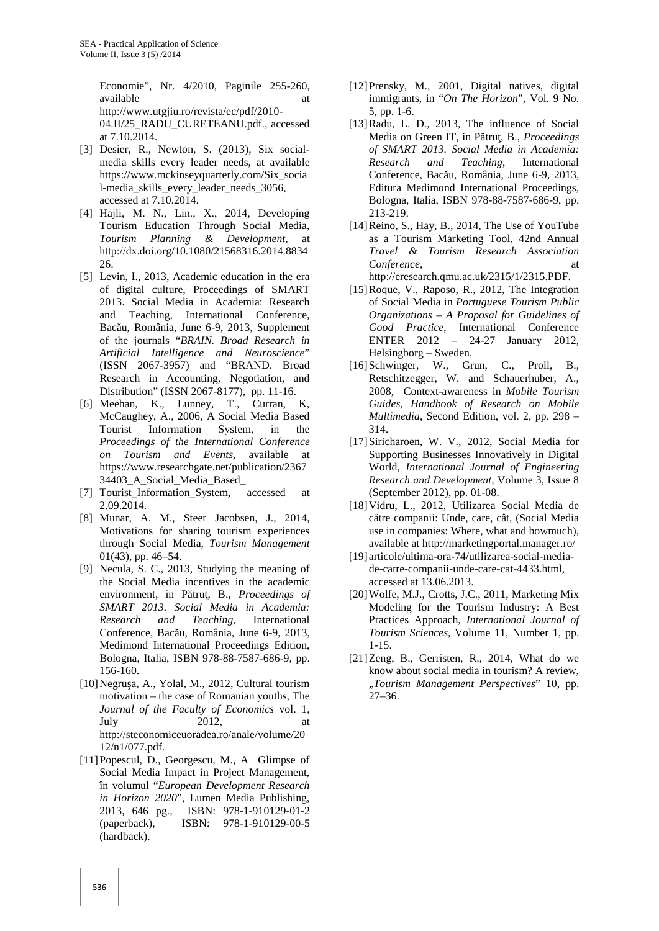Economie", Nr. 4/2010, Paginile 255-260, available at a structure at a structure at a structure at a structure at a structure at a structure at a structure at a structure at a structure at a structure at a structure at a structure at a structure at  $\alpha$ http://www.utgjiu.ro/revista/ec/pdf/2010- 04.II/25\_RADU\_CURETEANU.pdf., accessed at 7.10.2014.

- [3] Desier, R., Newton, S. (2013), Six social media skills every leader needs, at available https://www.mckinseyquarterly.com/Six\_socia l-media\_skills\_every\_leader\_needs\_3056, accessed at 7.10.2014.
- [4] Hajli, M. N., Lin., X., 2014, Developing Tourism Education Through Social Media, *Tourism Planning & Development,* at http://dx.doi.org/10.1080/21568316.2014.8834 26.
- [5] Levin, I., 2013, Academic education in the era of digital culture, Proceedings of SMART 2013. Social Media in Academia: Research and Teaching, International Conference, Bac u, România, June 6-9, 2013, Supplement of the journals "*BRAIN. Broad Research in Artificial Intelligence and Neuroscience*" (ISSN 2067-3957) and "BRAND. Broad Research in Accounting, Negotiation, and Distribution" (ISSN 2067-8177), pp. 11-16.
- [6] Meehan, K., Lunney, T., Curran, K, McCaughey, A., 2006, A Social Media Based Tourist Information System, in the *Proceedings of the International Conference on Tourism and Events*, available at https://www.researchgate.net/publication/2367 34403\_A\_Social\_Media\_Based\_
- [7] Tourist Information System, accessed at 2.09.2014.
- [8] Munar, A. M., Steer Jacobsen, J., 2014, Motivations for sharing tourism experiences through Social Media, *Tourism Management* 01(43), pp. 46–54.
- [9] Necula, S. C., 2013, Studying the meaning of the Social Media incentives in the academic environment, in P tru, B., *Proceedings of SMART 2013. Social Media in Academia: Research and Teaching,* International Conference, Bac u, România, June 6-9, 2013, Medimond International Proceedings Edition, Bologna, Italia, ISBN 978-88-7587-686-9, pp. 156-160.
- [10] Negru a, A., Yolal, M., 2012, Cultural tourism motivation – the case of Romanian youths, The *Journal of the Faculty of Economics* vol. 1, July 2012, at http://steconomiceuoradea.ro/anale/volume/20 12/n1/077.pdf.
- [11]Popescul, D., Georgescu, M., A Glimpse of Social Media Impact in Project Management, în volumul "*European Development Research in Horizon 2020*", Lumen Media Publishing, 2013, 646 pg., ISBN: 978-1-910129-01-2 (paperback), ISBN: 978-1-910129-00-5 (hardback).
- [12]Prensky, M., 2001, Digital natives, digital immigrants, in "*On The Horizon*", Vol. 9 No. 5, pp. 1-6.
- [13]Radu, L. D., 2013, The influence of Social Media on Green IT, in P tru, B., *Proceedings of SMART 2013. Social Media in Academia: Research and Teaching*, International Conference, Bac u, România, June 6-9, 2013, Editura Medimond International Proceedings, Bologna, Italia, ISBN 978-88-7587-686-9, pp. 213-219.
- [14]Reino, S., Hay, B., 2014, The Use of YouTube as a Tourism Marketing Tool, 42nd Annual *Travel & Tourism Research Association Conference*. http://eresearch.qmu.ac.uk/2315/1/2315.PDF.
- [15] Roque, V., Raposo, R., 2012, The Integration of Social Media in *Portuguese Tourism Public Organizations – A Proposal for Guidelines of Good Practice*, International Conference ENTER 2012 – 24-27 January 2012, Helsingborg – Sweden.
- [16]Schwinger, W., Grun, C., Proll, B., Retschitzegger, W. and Schauerhuber, A., 2008, Context-awareness in *Mobile Tourism Guides, Handbook of Research on Mobile Multimedia*, Second Edition, vol. 2, pp. 298 – 314.
- [17]Siricharoen, W. V., 2012, Social Media for Supporting Businesses Innovatively in Digital World, *International Journal of Engineering Research and Development*, Volume 3, Issue 8 (September 2012), pp. 01-08.
- [18]Vidru, L., 2012, Utilizarea Social Media de c tre companii: Unde, care, cât, (Social Media use in companies: Where, what and howmuch), available at http://marketingportal.manager.ro/
- [19] articole/ultima-ora-74/utilizarea-social-media de-catre-companii-unde-care-cat-4433.html, accessed at 13.06.2013.
- [20]Wolfe, M.J., Crotts, J.C., 2011, Marketing Mix Modeling for the Tourism Industry: A Best Practices Approach, *International Journal of Tourism Sciences*, Volume 11, Number 1, pp. 1-15.
- [21]Zeng, B., Gerristen, R., 2014, What do we know about social media in tourism? A review, "*Tourism Management Perspectives*" 10, pp. 27–36.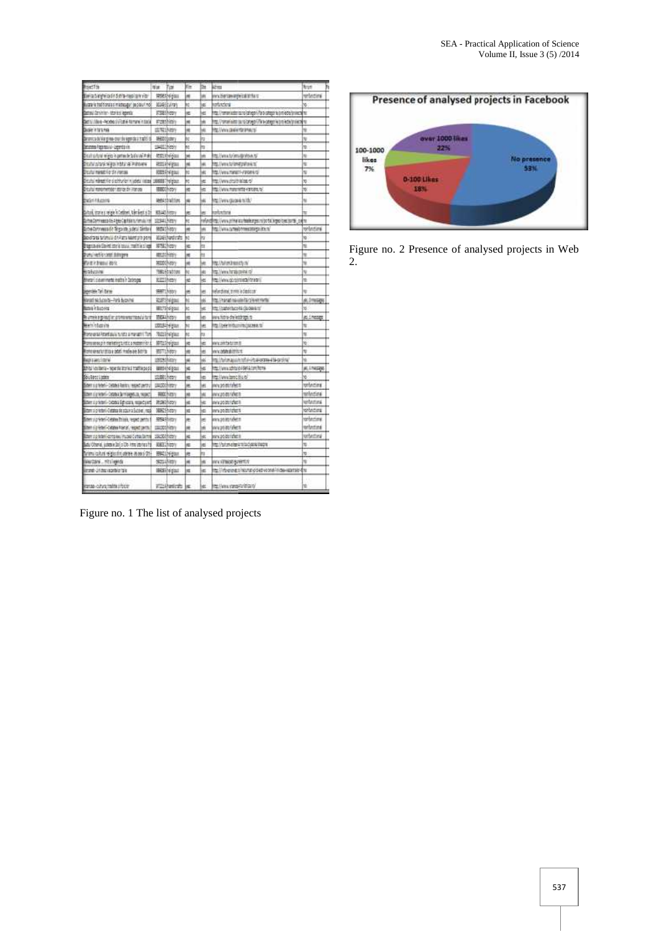| ted The                                                                                      | War Tim               | ñт      | ÎМ   | ëш                                                                                                   | tur                             |  |
|----------------------------------------------------------------------------------------------|-----------------------|---------|------|------------------------------------------------------------------------------------------------------|---------------------------------|--|
| Deta bingwa de Solis-recoluir via                                                            | <b>HIMA-Frimmed</b>   | ×       | w    | nnubleriaminghéizaldritura                                                                           | telecting                       |  |
| Buzzaria traffionala mastasaguri paciduri ndi                                                | BELGEBLARDS           | kέ      | hв   | izitatori                                                                                            | 36                              |  |
| Castrol Corvinier- Maries Veneta                                                             | R385hopy              | ĸ       | ΙĦ   | ity, (remainabarisana) salagon (fara salagona (innivolvisionalis) is                                 |                                 |  |
| <b>Detroites-Rode Initek fanani razda</b>                                                    | <b>Washing</b>        | ٠       | lм   | ns //www.interfactor.com///www.applistor.interfactor.interfactor.interfactor.interfactor.interfactor |                                 |  |
| <b>Dokrit 19746</b>                                                                          | 107012-001            | н       | hш   | NG STANGA CEMERATEMPORALITY                                                                          | u                               |  |
| Decembrica Marginae-droit de Appelda à Traditi di                                            | MH000batery           | k       | lta  |                                                                                                      | N                               |  |
| <b>Income Popmania-Legendavie</b>                                                            | 19431294001           | ić.     | ы    |                                                                                                      | tó.                             |  |
| Distribute eight o printe le Sol EVE Poly                                                    | <b>RACEMENT</b>       | u       | lнi  | Its//wea.ty/imsday/ceks                                                                              | w                               |  |
| <b>DEVILOPEMENTAL A PROJEC</b>                                                               | <b>REGIVERAL</b>      | si      | lн   | <b>http://www.tripedia.kr</b>                                                                        | ü                               |  |
| Doutul mesitii 60 Sii Vanaa                                                                  | <b>MISER-FERI</b>     | и       | W    | to Ferra metabl-Panamers                                                                             | s                               |  |
| tal mänaattillen si sokkunleri muudestal liisipaal. 1989000 Theligioale.                     |                       | ĸ       | ķΕ   | <b>MARKETHERS</b>                                                                                    | 10                              |  |
| istuitui manairrentest-atorize din interzeu                                                  | 5500 m                | ×       | ķü   | No characterize cancer to                                                                            | b                               |  |
| <b>Existituate</b>                                                                           | <b>MANASIONE</b>      | ×       | þ6   | <b>NIVELSIDES IN</b>                                                                                 | N                               |  |
| What states were interest through a state from y                                             |                       |         | ke   |                                                                                                      | u                               |  |
|                                                                                              | 103413001             | ŧ<br>Ħέ |      | elustev                                                                                              |                                 |  |
| Comma Donneasco de Argee Castilla in Yamulu not                                              | 988419/801            | Ħ       | m    | www.com/www.com/www.com/www.com/www.com/www.com/www.com/www.com/www.com/www.com/w                    | velnomi                         |  |
| Eutea Coronaeas din Tenguine, submit Simbon<br>Bevistants turismului di Alexandria pro promi | MAREPARENTE           | k       | kŕ   | TO I VILLA DE TERRITORES DE STATES DE                                                                | w                               |  |
| <b>Depreven Sovet store room made in single</b>                                              | <b>MSD/rest</b>       | ĸ       | kn.  |                                                                                                      | ú                               |  |
|                                                                                              |                       |         | hı   |                                                                                                      |                                 |  |
| particles contributions                                                                      | anzan-inny            | N       |      |                                                                                                      | y<br>Ń                          |  |
| 的复数计数据数组 地名法                                                                                 | september             | н       | W    | <b>NATURE READY N</b>                                                                                |                                 |  |
| <b>ESECONE</b>                                                                               | <b>THIGH-INSTERN</b>  | ht.     | W    | to://www.forabuoxik.c/                                                                               | u                               |  |
| Bherari sidummente instite in Dobrigas                                                       | REEEShirton           | e       | ye:  | (MACCOPERATOR)                                                                                       | tá                              |  |
| peake in time                                                                                | seem history          | ë       | w    | elimpione, trime la destoca                                                                          | u                               |  |
| Annatistico da - Ford Brening                                                                | KIRBAHA               | hż      | lvki | my/install results for plear more                                                                    | ALCOHOL:                        |  |
| <b>REIN CRADIO</b>                                                                           | <b>BELTINGENI</b>     | ы       | jк   | ttp://padeirbuco/itd.cjt.classicnt                                                                   | <sub>30</sub>                   |  |
| e umele e greatien promoveambou'u turi                                                       | BBARROY               | rt      | kti  | ww.httnie-shelidatraga.ra                                                                            | ALL THESES                      |  |
| Bern of utrini                                                                               | 10013414928           | ht      | ÌН   | <b>TELEVISION IN A PROTECTIVE</b>                                                                    | N                               |  |
| <b>Romanda Posetaulu tunto a manatri Tom</b>                                                 | <b>Notably algous</b> | hι      | Ìц   |                                                                                                      | u                               |  |
| Poronees prin melkeling turnit a mateerinter.                                                | 97013/vigins          | ĸ       | ١È   | ercontetrim.o                                                                                        | K                               |  |
| Rome on and children and published distribution                                              | <b>HELLY</b> (ARD)    | ×       | W    | mncadate delthium                                                                                    | 'n                              |  |
| <b>BASILIAN SOFIA</b>                                                                        | 100210 Mary           | ×       | W    | <b>North and interview of the state of the Second Control</b>                                        | N                               |  |
| <b>Banadhal Laires van Aage-ainstructus</b>                                                  | <b>BEES (Videos)</b>  | ĸ       | VG.  | ts://www.schtuie.idena.com/home                                                                      | ALTMENT                         |  |
| Sou listo Liggios                                                                            | 100815001             | e       | kα   | to /www.handeliu.co/                                                                                 | ŵ                               |  |
| Scher sig federi- (1450k) Rastos regactioners;                                               | <b>CALCOGNIES</b>     | ×       | H    | NV 2010/3/80 to                                                                                      | tetezina                        |  |
| Шел с стали - серви за поврек в, торет                                                       | #800 history          | ú       | 'nм  | ncontente a                                                                                          | selectes                        |  |
| Barrio anni-ticoli Spicari, nuncont                                                          | RINGROV               | ĸ       | jю   | erusake ishe m                                                                                       | <b>Modulational</b>             |  |
| Eithern si christini i Clatatus de octuve a Succeae i resti                                  | 30625/ottr            | d       | kti  | nru po bistotet m                                                                                    | tetedas                         |  |
| hem u prederi «Cetabea Thisais, respect pentru f                                             | 精神病症                  | e       | ye:  | inn pomonibet m                                                                                      | winder                          |  |
| DAY ELERC-TARH FORE, FEND DITK                                                               | stastophican          | m       | 'n   | nnvanimtel <del>ik</del> n                                                                           | <b><i><u>Anfordized</u></i></b> |  |
| Etter zu rebrikerig auf museit unter Berne                                                   | 1925/(friday)         | ĸ       | W    | menciposito tobat m                                                                                  | totectival                      |  |
| Latu Obene, justos e Daljo Db Atra interes foi                                               | R&II (himr)           | ĸ       | ijα  | my/brandministrationships                                                                            | y                               |  |
| annu cutus eigents poree atoms 01-                                                           | <b>HALLMAN</b>        | æ       | Îн   |                                                                                                      | 10                              |  |
| Western Millende                                                                             | sauNer                | ×       | w    | nn streatgearth                                                                                      | N.                              |  |
| kimando 2/10mi väcarðaler folk                                                               | <b>BEGER</b> (glass)  | e       | W    | to il riverentro incurso o set votenti india registrato disc                                         |                                 |  |
| anao cutura/halifa pripose                                                                   | <b>Will-Hunterity</b> | læ      | lиs  | MAY (NON LY AMARA LY DELLA)                                                                          | u                               |  |





Figure no. 2 Presence of analysed projects in Web 2.